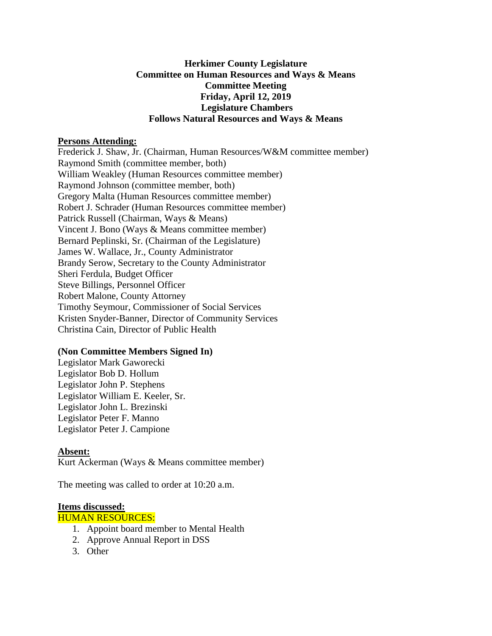## **Herkimer County Legislature Committee on Human Resources and Ways & Means Committee Meeting Friday, April 12, 2019 Legislature Chambers Follows Natural Resources and Ways & Means**

### **Persons Attending:**

Frederick J. Shaw, Jr. (Chairman, Human Resources/W&M committee member) Raymond Smith (committee member, both) William Weakley (Human Resources committee member) Raymond Johnson (committee member, both) Gregory Malta (Human Resources committee member) Robert J. Schrader (Human Resources committee member) Patrick Russell (Chairman, Ways & Means) Vincent J. Bono (Ways & Means committee member) Bernard Peplinski, Sr. (Chairman of the Legislature) James W. Wallace, Jr., County Administrator Brandy Serow, Secretary to the County Administrator Sheri Ferdula, Budget Officer Steve Billings, Personnel Officer Robert Malone, County Attorney Timothy Seymour, Commissioner of Social Services Kristen Snyder-Banner, Director of Community Services Christina Cain, Director of Public Health

### **(Non Committee Members Signed In)**

Legislator Mark Gaworecki Legislator Bob D. Hollum Legislator John P. Stephens Legislator William E. Keeler, Sr. Legislator John L. Brezinski Legislator Peter F. Manno Legislator Peter J. Campione

### **Absent:**

Kurt Ackerman (Ways & Means committee member)

The meeting was called to order at 10:20 a.m.

### **Items discussed:**

HUMAN RESOURCES:

- 1. Appoint board member to Mental Health
- 2. Approve Annual Report in DSS
- 3. Other